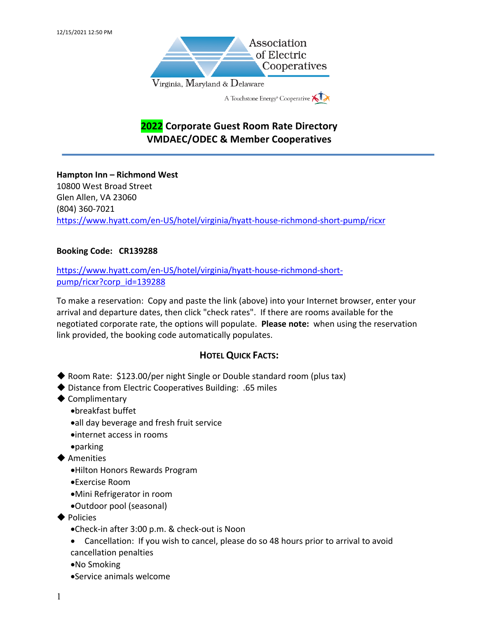

# **2022 Corporate Guest Room Rate Directory VMDAEC/ODEC & Member Cooperatives**

**Hampton Inn – Richmond West**  10800 West Broad Street Glen Allen, VA 23060 (804) 360-7021 https://www.hyatt.com/en-US/hotel/virginia/hyatt-house-richmond-short-pump/ricxr

## **Booking Code: CR139288**

https://www.hyatt.com/en-US/hotel/virginia/hyatt-house-richmond-shortpump/ricxr?corp\_id=139288

To make a reservation: Copy and paste the link (above) into your Internet browser, enter your arrival and departure dates, then click "check rates". If there are rooms available for the negotiated corporate rate, the options will populate. **Please note:** when using the reservation link provided, the booking code automatically populates.

## **HOTEL QUICK FACTS:**

- $\blacklozenge$  Room Rate: \$123.00/per night Single or Double standard room (plus tax)
- $\blacklozenge$  Distance from Electric Cooperatives Building: .65 miles
- $\blacklozenge$  Complimentary
	- •breakfast buffet
	- •all day beverage and fresh fruit service
	- •internet access in rooms
	- •parking
- $\blacklozenge$  Amenities
	- •Hilton Honors Rewards Program
	- •Exercise Room
	- •Mini Refrigerator in room
	- •Outdoor pool (seasonal)
- $\blacklozenge$  Policies
	- •Check-in after 3:00 p.m. & check-out is Noon
	- Cancellation: If you wish to cancel, please do so 48 hours prior to arrival to avoid cancellation penalties
	- •No Smoking
	- •Service animals welcome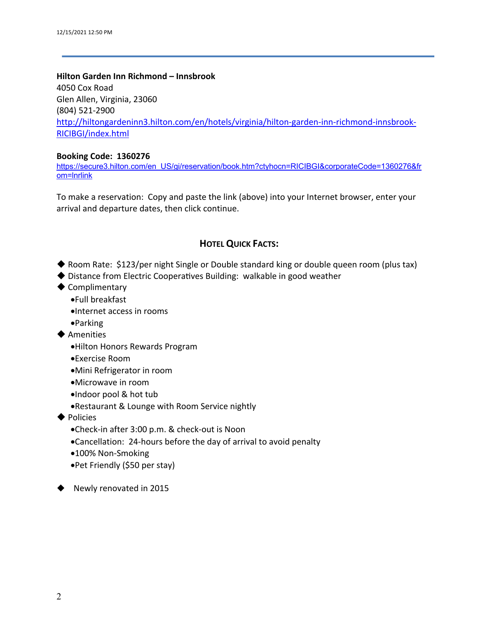#### **Hilton Garden Inn Richmond – Innsbrook**

4050 Cox Road Glen Allen, Virginia, 23060 (804) 521-2900 http://hiltongardeninn3.hilton.com/en/hotels/virginia/hilton-garden-inn-richmond-innsbrook-RICIBGI/index.html

#### **Booking Code: 1360276**

https://secure3.hilton.com/en\_US/gi/reservation/book.htm?ctyhocn=RICIBGI&corporateCode=1360276&fr om=lnrlink

To make a reservation: Copy and paste the link (above) into your Internet browser, enter your arrival and departure dates, then click continue.

## **HOTEL QUICK FACTS:**

- ◆ Room Rate: \$123/per night Single or Double standard king or double queen room (plus tax)
- $\blacklozenge$  Distance from Electric Cooperatives Building: walkable in good weather
- $\blacklozenge$  Complimentary
	- •Full breakfast
	- •Internet access in rooms
	- •Parking
- $\blacklozenge$  Amenities
	- •Hilton Honors Rewards Program
	- •Exercise Room
	- •Mini Refrigerator in room
	- •Microwave in room
	- •Indoor pool & hot tub
	- •Restaurant & Lounge with Room Service nightly
- $\blacklozenge$  Policies
	- •Check-in after 3:00 p.m. & check-out is Noon
	- •Cancellation: 24-hours before the day of arrival to avoid penalty
	- •100% Non-Smoking
	- •Pet Friendly (\$50 per stay)

 $\blacklozenge$  Newly renovated in 2015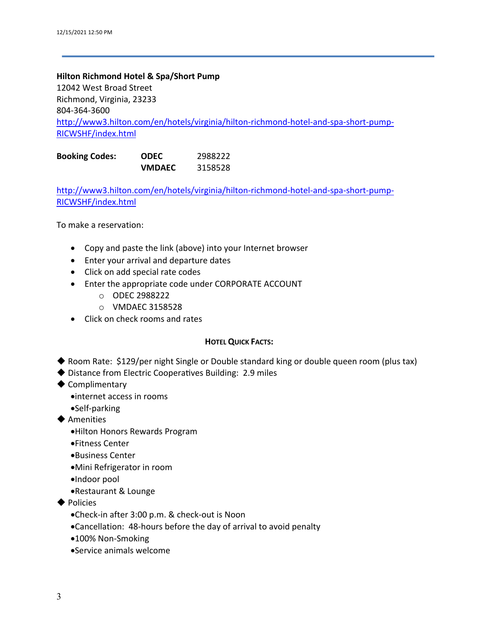### **Hilton Richmond Hotel & Spa/Short Pump**

12042 West Broad Street Richmond, Virginia, 23233 804-364-3600 http://www3.hilton.com/en/hotels/virginia/hilton-richmond-hotel-and-spa-short-pump-RICWSHF/index.html

| <b>Booking Codes:</b> | <b>ODEC</b>   | 2988222 |
|-----------------------|---------------|---------|
|                       | <b>VMDAEC</b> | 3158528 |

http://www3.hilton.com/en/hotels/virginia/hilton-richmond-hotel-and-spa-short-pump-RICWSHF/index.html

To make a reservation:

- Copy and paste the link (above) into your Internet browser
- Enter your arrival and departure dates
- Click on add special rate codes
- Enter the appropriate code under CORPORATE ACCOUNT
	- o ODEC 2988222
	- o VMDAEC 3158528
- Click on check rooms and rates

### **HOTEL QUICK FACTS:**

- ◆ Room Rate: \$129/per night Single or Double standard king or double queen room (plus tax)
- $\blacklozenge$  Distance from Electric Cooperatives Building: 2.9 miles
- $\blacklozenge$  Complimentary
	- •internet access in rooms
	- •Self-parking
- $\blacklozenge$  Amenities
	- •Hilton Honors Rewards Program
	- •Fitness Center
	- •Business Center
	- •Mini Refrigerator in room
	- •Indoor pool
	- •Restaurant & Lounge
- $\blacklozenge$  Policies
	- •Check-in after 3:00 p.m. & check-out is Noon
	- •Cancellation: 48-hours before the day of arrival to avoid penalty
	- •100% Non-Smoking
	- •Service animals welcome